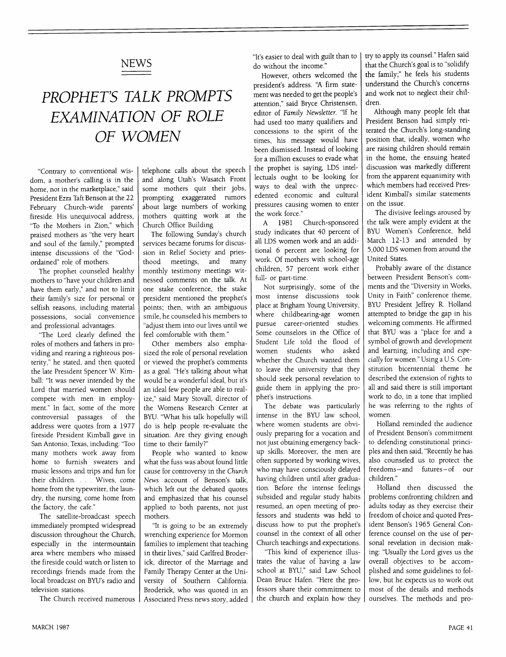### **NEWS**

## *PROPHET'S TALK PROMPTS EXAMINATION OF ROLE OF WOMEN*

"Contrary to conventional wisdom, a mother's calling is in the home, not in the marketplace," said President Ezra Taft Benson at the 22 February Church-wide parents' fireside. His unequivocal address, "To the Mothers in Zion," which praised mothers as "the very heart and soul of the family," prompted intense discussions of the "Godordained" role of mothers.

The prophet counseled healthy mothers to "have your children and have them early," and not to limit their family's size for personal or selfish reasons, including material possessions, social convenience and professional advantages.

"The Lord clearly defined the roles of mothers and fathers in providing and rearing a righteous posterity," he stated, and then quoted the late President Spencer W. Kimball: "It was never intended by the Lord that married women should compete with men in employment." In fact, some of the more controversial passages of the address were quotes from a 1977 fireside President Kimball gave in San Antonio, Texas, including: "Too many mothers work away from home to furnish sweaters and music lessons and trips and fun for their children .... Wives, come home from the typewriter, the laundry, the nursing, come home from the factory, the cafe."

The satellite-broadcast speech immediately prompted widespread discussion throughout the Church, especially in the intermountain area where members who missed the fireside could watch or listen to recordings friends made from the local broadcast on BYU's radio and television stations.

The Church received numerous

telephone calls about the speech and along Utah's Wasatch Front some mothers quit their jobs, prompting exaggerated rumors about large numbers of working mothers quitting work at the Church Office Building.

The following Sunday's church services became forums for discussion in Relief Society and priesthood meetings, and many monthly testimony meetings witnessed comments on the talk. At one stake conference, the stake president mentioned the prophet's points; then, with an ambiguous smile, he counseled his members to "adjust them into our lives until we feel comfortable with them."

Other members also emphasized the role of personal revelation or viewed the prophet's comments as a goal. "He's talking about what would be a wonderful ideal, but it's an ideal few people are able to realize," said Mary Stovall, director of the Womens Research Center at BYU. "What his talk hopefully will do is help people re-evaluate the situation. Are they giving enough time to their family?"

People who wanted to know what the fuss was about found little cause for controversy in the *Church* News account of Benson's talk, which left out the debated quotes and emphasized that his counsel applied to both parents, not just mothers.

"It is going to be an extremely wrenching experience for Mormon families to implement that teaching in their lives," said Carlfred Broderick, director of the Marriage and Family Therapy Center at the University of Southern California. Broderick, who was quoted in an Associated Press news story, added

"It's easier to deal with guilt than to do without the income."

However, others welcomed the president's address. 'A firm statement was needed to get the people's attention," said Bryce Christensen, editor of *Family Newsletter.* "If he had used too many qualifiers and concessions to the spirit of the times, his message would have been dismissed. Instead of looking for a million excuses to evade what the prophet is saying, LDS intellectuals ought to be looking for ways to deal with the unprecedented economic and cultural pressures causing women to enter the work force."

A 1981 Church-sponsored study indicates that 40 percent of all LDS women work and an additional 6 percent are looking for work. Of mothers with school-age children, 57 percent work either full- or part-time.

Not surprisingly, some of the most intense discussions took place at Brigham Young University, where childbearing-age women pursue career-oriented studies. Some counselors in the Office of Student Life told the flood of<br>women students who asked women students whether the Church wanted them to leave the university that they should seek personal revelation to guide them in applying the prophet's instructions.

The debate was particularly intense in the BYU law school, where women students are obviously preparing for a vocation and not just obtaining emergency backup skills. Moreover, the men are often supported by working wives, who may have consciously delayed having children until after graduation. Before the intense feelings subsided and regular study habits resumed, an open meeting of professors and students was held to discuss how to put the prophet's counsel in the context of all other Church teachings and expectations.

"This kind of experience illustrates the value of having a law school at BYU," said Law School Dean Bruce Hafen. "Here the professors share their commitment to the church and explain how they

try to apply its counsel." Hafen said that the Church's goal is to "solidify the family;" he feels his students understand the Church's concerns and work not to neglect their children.

Although many people felt that President Benson had simply reiterated the Church's long-standing position that, ideally, women who are raising children should remain in the home, the ensuing heated discussion was markedly different from the apparent equanimity with which members had received President Kimball's similar statements on the issue.

The divisive feelings aroused by the talk were amply evident at the BYU Women's Conference, held March 12-13 and attended by 5,000 LDS women from around the United States.

Probably aware of the distance between President Benson's comments and the "Diversity in Works, Unity in Faith" conference theme, BYU President Jeffrey R. Holland attempted to bridge the gap in his welcoming comments. He affirmed that BYU was a "place for and a symbol of growth and development and learning, including and *especially* for women." Using a U.S. Constitution bicentennial theme he described the extension of rights to all and said there is still important work to do, in a tone that implied he was referring to the rights of women.

Holland reminded the audience of President Benson's commitment to defending constitutional principles and then said, "Recently he has also counseled us to protect the freedoms-and futures- of our children."

Holland then discussed the problems confronting children and adults today as they exercise their freedom of choice and quoted President Benson's 1965 General Conference counsel on the use of personal revelation in decision making: "Usually the Lord gives us the overall objectives to be accomplished and some guidelines to follow, but he expects us to work out most of the details and methods ourselves. The methods and pro-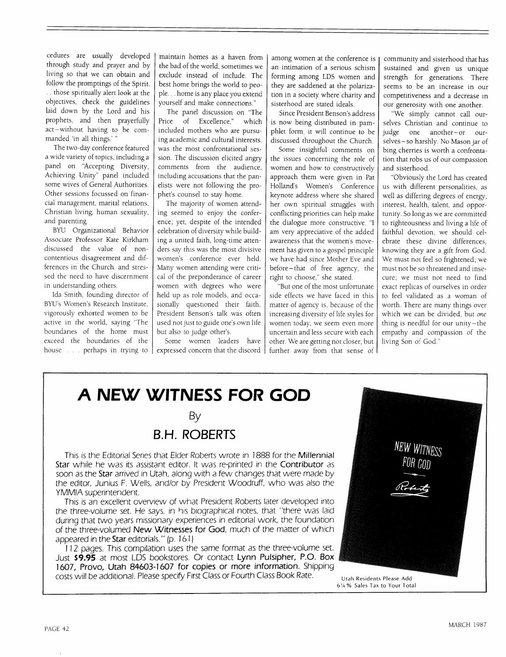cedures are usually developed through study and prayer and by living so that we can obtain and follow the promptings of the Spirit. .. those spiritually alert look at the objectives, check the guidelines laid down by the Lord and his prophets, and then prayerfully act-without having to be commanded 'in all things.'

The two-day conference featured a wide variety of topics, including a panel on 'Accepting Diversity, Achieving Unity" panel included some wives of General Authorities. Other sessions focussed on financial management, marital relations, Christian living, human sexuality, and parenting.

BYU Organizational Behavior Associate Professor Kate Kirkham discussed the value of noncontentious disagreement and differences in the Church, and stressed the need to have discernment in understanding others.

Ida Smith, founding director of BYU's Women's Research Institute, vigorously exhorted women to be active in the world, saying "The boundaries of the home must exceed the: boundaries of the house . . . . perhaps in trying to

maintain homes as a haven from the bad of the world, sometimes we exclude instead of include. The best home brings the world to people.., home is any place you extend yourself and make connections."

The panel discussion on "The Price of Excellence," which included mothers who are pursuing academic and cultural interests. was the most confrontational session. The discussion elicited angry comments from the audience, including accusations that the panelists were not following the prophet's counsel to stay home.

The majority of women attending seemed to enjoy the conference; yet, despite of the intended celebration of diversity while building a united faith, long-time attenders say this was the most divisive women's conference ever held. Many women attending were critical of the preponderance of career women with degrees who were held up as role models, and occasionally questioned their faith. President Benson's talk was often used not just to guide one's own life but also to judge other's.

Some women leaders have expressed concern that the discord

among women at the conference is an intimation of a serious schism forming among LDS women and they are saddened at the polarization in a society where charity and sisterhood are stated ideals.

Since President Benson's address is now being distributed in pamphlet form, it will continue to be discussed throughout the Church.

Some insightful comments on the issues concerning the role of women and how to constructively approach them were given in Pat Holland's Women's Conference keynote address where she shared her own spiritual struggles with conflicting priorities can help make the dialogue more constructive. "I am very appreciative of the added awareness that the women's movement has given to a gospel principle we have had since Mother Eve and before-that of free agency, the right to choose," she stated.

"But one of the most unfortunate side effects we have faced in this matter of agency is, because of the increasing diversity of life styles for women today, we seem even more uncertain and less secure with each other. We are getting not closer, but further away from that sense of community and sisterhood that has sustained and given us unique strength for generations. There seems to be an increase in our competitiveness and a decrease in our generosity with one another.

"We simply cannot call ourselves Christian and continue to judge one another-or ourselves-so harshly. No Mason jar of bing cherries is worth a confrontation that robs us of our compassion and sisterhood.

"Obviously the Lord has created us with different personalities, as well as differing degrees of energy, interest, health, talent, and opportunity. So long as we are committed to righteousness and living a life of faithful devotion, we should celebrate these divine differences, knowing they are a gift from God. We must not feel so frightened; we must not be so threatened and insecure; we must not need to find exact replicas of ourselves in order to feel validated as a woman of worth. There are many things over which we can be divided, but *one* thing is needful for our unity-the empathy and compassion of the living Son of God."

### **A NEW WITNESS FOR GOD**

#### By

#### **B.H. ROBERTS**

This is the Editorial Series that Elder Roberts wrote in 1888 for the Millennial Star while he was its assistant editor. It was re-printed in the Contributor as soon as the Star arrived in Utah, along with a few changes that were made by the editor, Junius F. Wells, and/or by President Woodruff, who was also the YMMIA superintendent.

This is an excellent overview of what President Roberts later developed into the three-volume set. He says, in his biographical notes, that "there was laid during that two years missionary experiences in editorial work, the foundation of the three-volumed New Witnesses for God, much of the matter of which appeared in the Star editorials." (p. 161)

112 pages. This compilation uses the same format as the three-volume set. Just \$9.95 at most LDS bookstores. Or contact Lynn Pulsipher, P.O. **Box 1607, Provo, Utah 84603-1607 for copies or more information.** Shipping costs will be additional. Please specify First Class or Fourth Class Book Rate. Utah Residents Please Add

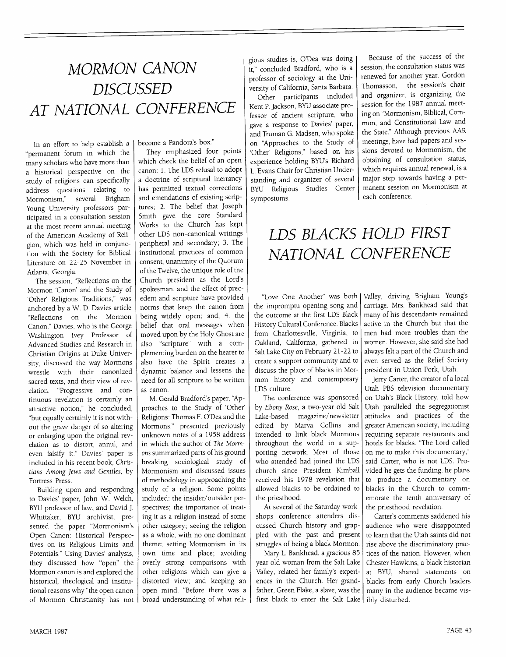# *MORMON CANON DISCUSSED AT NATIONAL CONFERENCE*

In an effort to hdp establish a "permanent forum in which the many scholars who have more than a historical perspective on the study of religions can specifically address questions relating to<br>Mormonism," several Brigham several Brigham Young University professors participated in a consultation session at the most recent annual meeting of the American Academy of Rdigion, which was held in conjunction with the Society for Biblical Literature on 22-25 November in Atlanta, Georgia.

The session, "Reflections on the Mormon 'Canon' and the Study of 'Other' Religious Traditions," was anchored by a W. D. Davies article "Reflections on the Mormon Canon." Davies, who is the George Washington Ivey Professor of Advanced Studies and Research in Christian Origins at Duke University, discussed the way Mormons wrestle with their canonized sacred texts, and their view of revelation. "Progressive and continuous revdation is certainly an attractive notion," he concluded, "but equally certainly it is not without the grave danger of so altering or enlarging upon the original revelation as to distort, annul, and even falsify it." Davies' paper is included in his recent book, *Christians Among Jews and Gentiles,* by Fortress Press.

Building upon and responding to Davies' paper, John W. Welch, BYU professor of law, and David J. Whittaker, BYU archivist, presented the paper "Mormonism's Open Canon: Historical Perspectives on its Religious Limits and Potentials." Using Davies' analysis, they discussed how "open" the Mormon canon is and explored the historical, theological and institutional reasons why "the open canon of Mormon Christianity has not

become a Pandora's box."

They emphasized four points which check the bdief of an open canon: 1. The LDS refusal to adopt a doctrine of scriptural inerrancy has permitted textual corrections and emendations of existing scriptures; 2. The bdief that Joseph Smith gave the core Standard Works to the Church has kept other LDS non-canonical writings peripheral and secondary; 3. The institutional practices of common consent, unanimity of the Quorum of the Twelve, the unique role of the Church president as the Lord's spokesman, and the effect of precedent and scripture have provided norms that keep the canon from being widely open; and, 4. the belief that oral messages when moved upon by the Holy Ghost are also "scripture" with a complementing burden on the hearer to also have the Spirit creates a dynamic balance and lessens the need for all scripture to be written as canon.

M. Gerald Bradford's paper, "Approaches to the Study of 'Other' Rdigions: Thomas F. O'Dea and the Mormons." presented previously unknown notes of a 1958 address in which the author of *The Mormons* summarized parts of his ground breaking sociological study of Mormonism and discussed issues of methodology in approaching the study of a rdigion. Some points included: the insider/outsider perspectives; the importance of treating it as a rdigion instead of some other category; seeing the religion as a whole, with no one dominant theme; setting Mormonism in its own time and place; avoiding overly strong comparisons with other religions which can give a distorted view; and keeping an open mind. "Before there was a broad understanding of what rdi-

gious studies is, O'Dea was doing it," concluded Bradford, who is a professor of sociology at the University of California, Santa Barbara. Other participants included Kent P. Jackson, BYU associate professor of ancient scripture, who gave a response to Davies' paper, and Truman G. Madsen, who spoke on "Approaches to the Study of 'Other' Religions," based on his experience holding BYU's Richard L. Evans Chair for Christian Understanding and organizer of several BYU Religious Studies Center symposiums.

Because of the success of the session, the consultation status was renewed for another year. Gordon Thomasson, the session's chair and organizer, is organizing the session for the 1987 annual meeting on "Mormonism, Biblical, Common, and Constitutional Law and the State." Although previous AAR meetings, have had papers and sessions devoted to Mormonism, the obtaining of consultation status, which requires annual renewal, is a major step towards having a permanent session on Mormonism at each conference.

# *LDS BLACKS HOLD FIRST NATIONAL CONFERENCE*

the impromptu opening song and the outcome at the first LDS Black History Cultural Conference. Blacks from Charlottesville, Virginia, to Oakland, California, gathered in Salt Lake City on February 21-22 to create a support community and to discuss the place of blacks in Mormon history and contemporary LDS culture.

The conference was sponsored by *Ebony Rose,* a two-year old Salt Lake.-based magazine/newsletter edited by Marva Collins and intended to link black Mormons throughout the world in a supporting network. Most of those who attended had joined the LDS church since President Kimball received his 1978 revdation that allowed blacks to be ordained to the priesthood.

At several of the Saturday workshops conference attenders discussed Church history and grappled with the past and present struggles of being a black Mormon.

Mary L. Bankhead, a gracious 85 year old woman from the Salt Lake Valley, related her family's experiences in the Church. Her grandfather, Green Flake, a slave, was the first black to enter the Salt Lake | ibly disturbed.

"Love One Another" was both Valley, driving Brigham Young's carriage. Mrs. Bankhead said that many of his descendants remained active in the Church but that the men had more troubles than the women. However, she said she had always felt a part of the Church and even served as the Relief Society president in Union Fork, Utah.

Jerry Carter, the creator of a local Utah PBS television documentary on Utah's Black History, told how Utah paralleled the segregationist attitudes and practices of the greater American society, including requiring separate restaurants and hotels for blacks. "The Lord called on me to make this documentary," said Carter, who is not LDS. Provided he gets the funding, he plans to produce a documentary on blacks in the Church to commemorate the tenth anniversary of the priesthood revelation.

Carter's comments saddened his audience who were disappointed to learn that the Utah saints did not rise above the discriminatory practices of the nation. However, when Chester Hawkins, a black historian at BYU, shared statements on blacks from early Church leaders many in the audience became vis-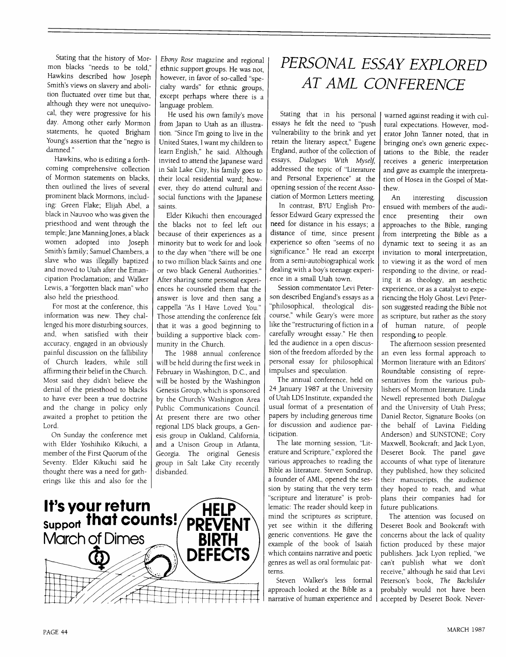Stating that the history of Mormon blacks "needs to be told," Hawkins described how Joseph Smith's views on slavery and abolition fluctuated over time but that, although they were not unequivocal, they were progressive for his day. Among other early Mormon statements, he quoted Brigham Young's assertion that the "negro is damned."

Hawkins, who is editing a forthcoming comprehensive collection of Mormon statements on blacks, then outlined the lives of several prominent black Mormons, including: Green Flake; Elijah Abel, a black in Nauvoo who was given the priesthood and went through the temple; Jane Manning Jones, a black women adopted into Joseph Smith's family; Samuel Chambers, a slave who was illegally baptized and moved to Utah after the Emancipation Proclamation; and Walker Lewis, a "forgotten black man" who also held the priesthood.

For most at the conference, this information was new. They challenged his more disturbing sources, and, when satisfied with their accuracy, engaged in an obviously painful discussion on the fallibility of Church leaders, while still affirming their belief in the Church. Most said they didn't believe the denial of the priesthood to blacks to have ever been a true doctrine and the change in policy only awaited a prophet to petition the Lord.

On Sunday the conference met with Elder Yoshihiko Kikuchi, a member of the First Quorum of the Seventy. Elder Kikuchi said he thought there was a need for gatherings like this and also for the

*Ebony Rose* magazine and regional ethnic support groups. He was not, however, in favor of so-called "specialty wards" for ethnic groups, except perhaps where there is a language problem.

He used his own family's move from Japan to Utah as an illustration. "Since I'm going to live in the United States, I want my children to learn English," he said. Although invited to attend the Japanese ward in Salt Lake City, his family goes to their local residential ward; how- ever, they do attend cultural and. social functions with the Japanese saints.

Elder Kikuchi then encouraged the blacks not to feel left out **because** of their experiences as a minority but to work for and look to the day when "there will be one to two million black Saints and one or two black General Authorities." After sharing some personal experiences he counseled them that the answer is love and then sang a cappella 'As I Have Loved You." Those attending the conference felt that it was a good beginning to building a supportive black community in the Church.

The 1988 annual conference will be held during the first week in February in Washington, D.C., and will be hosted by the Washington **Genesis** Group, which is sponsored by the Church's Washington Area Public Communications Council. At present there are two other regional I.DS black groups, a Genesis group in Oakland, California, and a Unison Group in Atlanta, Georgia. The original **Genesis** group in Salt Lake City recently disbanded.

### *PERSONA L ESSAY EXPL OR ED AT AML CONFERENCE*

Stating that in his personal **essays** he felt the need to "push vulnerability to the brink and yet retain the literary aspect," Eugene England, author of the collection of **essays,** *Dialogues With Myself,* addressed the topic of "Literature and Personal Experience" at the opening session of the recent Association of Mormon Letters meeting.

In contrast, BYU English Professor Edward Geary expressed the need for distance in his essays; a distance of time, since present experience so often **"seems** of no significance." He read an excerpt from a semi-autobiographical work dealing with a boy's teenage experience in a small Utah town.

Session commentator Levi Peterson described England's essays as a "philosophical, theological discourse," while Geary's were more like the "restructuring of fiction in a carefully wrought essay." He then led the audience in a open discussion of the freedom afforded by the )ersonal essay for philosophical impulses and speculation.

The annual conference, held on 24 January 1987 at the University of Utah LDS Institute, expanded the usual format of a presentation of papers by including generous time for discussion and audience participation.

The late morning session, "Literature and Scripture," explored the various approaches to reading the Bible as literature. Steven Sondrup, a founder of AML, opened the **session** by stating that the very term "scripture and literature" is problematic: The reader should keep in mind the scriptures as scripture, yet see within it the differing generic conventions. He gave the example of the book of Isaiah which contains narrative and poetic genres as well as oral formulaic patterns.

Steven Walker's less formal approach looked at the Bible as a narrative of human experience and

warned against reading it with cultural expectations. However, moderator John Tanner noted, that in bringing one's own generic expectations to the Bible, the reader **receives** a generic interpretation and gave as example the interpretation of Hosea in the Gospel of Matthew.

An interesting discussion ensued with members of the audience presenting their own approaches to the Bible, ranging from interpreting the Bible as a dynamic text to seeing it as an invitation to moral interpretation, to viewing it as the word of men responding to the divine, or reading it as theology, an aesthetic experience, or as a catalyst to experiencing the Holy Ghost. Levi Peterson suggested reading the Bible not as scripture, but rather as the story of human nature, of people responding to people.

The afternoon session presented an even less formal approach to Mormon literature with an Editors' Roundtable consisting of representatives from the various publishers of Mormon literature. Linda Newell represented both *Dialogue* and the University of Utah Press; Daniel Rector, Signature Books (on the behalf of Lavina Fielding Anderson) and SUNSrONE; Cory Maxwell, Bookcraft, and Jack Lyon, **Deseret** Book. The panel gave accounts of what type of literature they published, how they solicited their manuscripts, the audience they hoped to reach, and what plans their companies had for future publications.

The attention was focused on **Deseret** Book and Bookcraft with concerns about the lack of quality fiction produced by these major publishers. Jack Lyon replied, "we can't publish what we don't receive," although he said that Levi Peterson's book, *The Backslider* probably would not have been accepted by Deseret Book. Never-